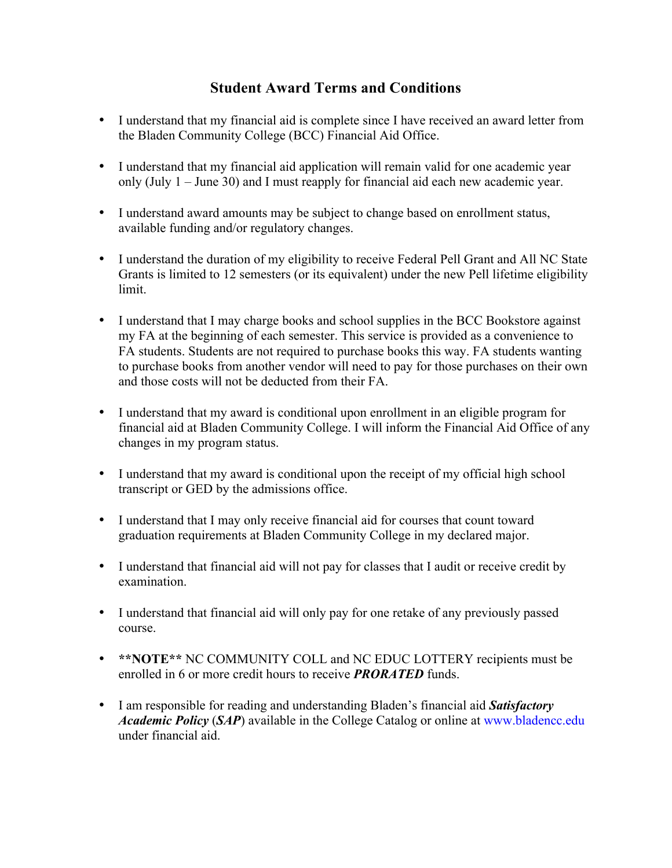## **Student Award Terms and Conditions**

- I understand that my financial aid is complete since I have received an award letter from the Bladen Community College (BCC) Financial Aid Office.
- I understand that my financial aid application will remain valid for one academic year only (July 1 – June 30) and I must reapply for financial aid each new academic year.
- I understand award amounts may be subject to change based on enrollment status, available funding and/or regulatory changes.
- I understand the duration of my eligibility to receive Federal Pell Grant and All NC State Grants is limited to 12 semesters (or its equivalent) under the new Pell lifetime eligibility limit.
- I understand that I may charge books and school supplies in the BCC Bookstore against my FA at the beginning of each semester. This service is provided as a convenience to FA students. Students are not required to purchase books this way. FA students wanting to purchase books from another vendor will need to pay for those purchases on their own and those costs will not be deducted from their FA.
- I understand that my award is conditional upon enrollment in an eligible program for financial aid at Bladen Community College. I will inform the Financial Aid Office of any changes in my program status.
- I understand that my award is conditional upon the receipt of my official high school transcript or GED by the admissions office.
- I understand that I may only receive financial aid for courses that count toward graduation requirements at Bladen Community College in my declared major.
- I understand that financial aid will not pay for classes that I audit or receive credit by examination.
- I understand that financial aid will only pay for one retake of any previously passed course.
- **\*\*NOTE\*\*** NC COMMUNITY COLL and NC EDUC LOTTERY recipients must be enrolled in 6 or more credit hours to receive *PRORATED* funds.
- I am responsible for reading and understanding Bladen's financial aid *Satisfactory Academic Policy (SAP)* available in the College Catalog or online at www.bladencc.edu under financial aid.